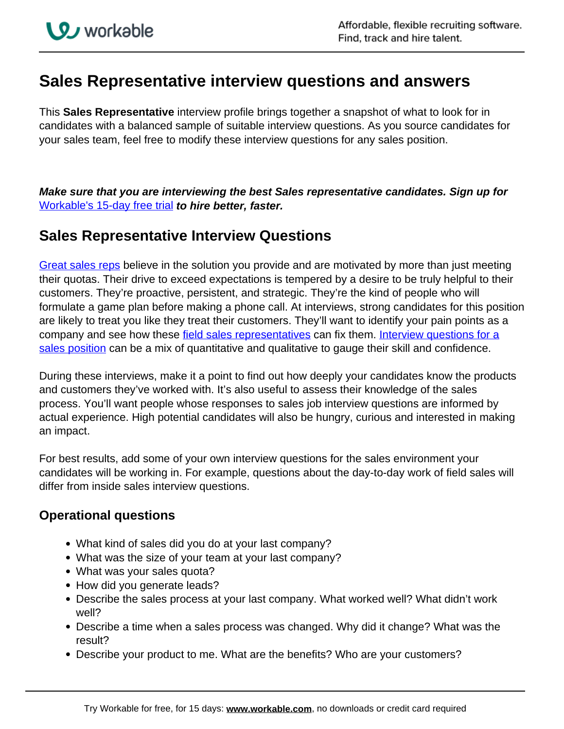## **Sales Representative interview questions and answers**

This **Sales Representative** interview profile brings together a snapshot of what to look for in candidates with a balanced sample of suitable interview questions. As you source candidates for your sales team, feel free to modify these interview questions for any sales position.

**Make sure that you are interviewing the best Sales representative candidates. Sign up for**  [Workable's 15-day free trial](https://www.workable.com/recruiting-software/?utm_page=sales-representative-interview-questions&utm_program=cta-text&utm_type=ats) **to hire better, faster.**

## **Sales Representative Interview Questions**

Great sales reps believe in the solution you provide and are motivated by more than just meeting their quotas. Their drive to exceed expectations is tempered by a desire to be truly helpful to their customers. They're proactive, persistent, and strategic. They're the kind of people who will formulate a game plan before making a phone call. At interviews, strong candidates for this position are likely to treat you like they treat their customers. They'll want to identify your pain points as a company and see how these field sales representatives can fix them. Interview questions for a sales position can be a mix of quantitative and qualitative to gauge their skill and confidence.

During these interviews, make it a point to find out how deeply your candidates know the products and customers they've worked with. It's also useful to assess their knowledge of the sales process. You'll want people whose responses to sales job interview questions are informed by actual experience. High potential candidates will also be hungry, curious and interested in making an impact.

For best results, add some of your own interview questions for the sales environment your candidates will be working in. For example, questions about the day-to-day work of field sales will differ from inside sales interview questions.

## **Operational questions**

- What kind of sales did you do at your last company?
- What was the size of your team at your last company?
- What was your sales quota?
- How did you generate leads?
- Describe the sales process at your last company. What worked well? What didn't work well?
- Describe a time when a sales process was changed. Why did it change? What was the result?
- Describe your product to me. What are the benefits? Who are your customers?